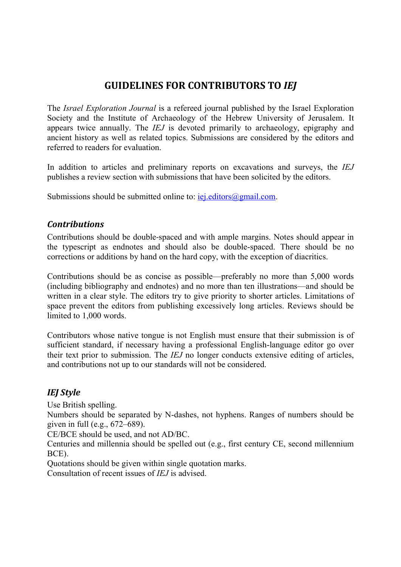# GUIDELINES FOR CONTRIBUTORS TO IEJ

The Israel Exploration Journal is a refereed journal published by the Israel Exploration Society and the Institute of Archaeology of the Hebrew University of Jerusalem. It appears twice annually. The IEJ is devoted primarily to archaeology, epigraphy and ancient history as well as related topics. Submissions are considered by the editors and referred to readers for evaluation.

In addition to articles and preliminary reports on excavations and surveys, the IEJ publishes a review section with submissions that have been solicited by the editors.

Submissions should be submitted online to: iej.editors $\omega$ gmail.com.

#### **Contributions**

Contributions should be double‐spaced and with ample margins. Notes should appear in the typescript as endnotes and should also be double-spaced. There should be no corrections or additions by hand on the hard copy, with the exception of diacritics.

Contributions should be as concise as possible—preferably no more than 5,000 words (including bibliography and endnotes) and no more than ten illustrations—and should be written in a clear style. The editors try to give priority to shorter articles. Limitations of space prevent the editors from publishing excessively long articles. Reviews should be limited to 1,000 words.

Contributors whose native tongue is not English must ensure that their submission is of sufficient standard, if necessary having a professional English-language editor go over their text prior to submission. The *IEJ* no longer conducts extensive editing of articles, and contributions not up to our standards will not be considered.

## IEJ Style

Use British spelling.

Numbers should be separated by N-dashes, not hyphens. Ranges of numbers should be given in full (e.g., 672–689).

CE/BCE should be used, and not AD/BC.

Centuries and millennia should be spelled out (e.g., first century CE, second millennium BCE).

Quotations should be given within single quotation marks.

Consultation of recent issues of IEJ is advised.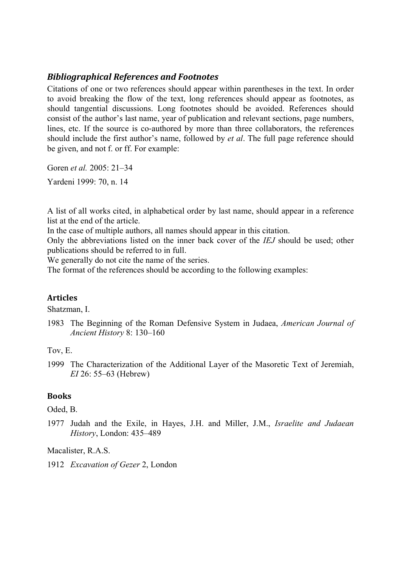#### Bibliographical References and Footnotes

Citations of one or two references should appear within parentheses in the text. In order to avoid breaking the flow of the text, long references should appear as footnotes, as should tangential discussions. Long footnotes should be avoided. References should consist of the author's last name, year of publication and relevant sections, page numbers, lines, etc. If the source is co-authored by more than three collaborators, the references should include the first author's name, followed by *et al*. The full page reference should be given, and not f. or ff. For example:

Goren et al. 2005: 21–34

Yardeni 1999: 70, n. 14

A list of all works cited, in alphabetical order by last name, should appear in a reference list at the end of the article.

In the case of multiple authors, all names should appear in this citation.

Only the abbreviations listed on the inner back cover of the *IEJ* should be used; other publications should be referred to in full.

We generally do not cite the name of the series.

The format of the references should be according to the following examples:

#### Articles

Shatzman, I.

1983 The Beginning of the Roman Defensive System in Judaea, American Journal of Ancient History 8: 130–160

Tov, E.

1999 The Characterization of the Additional Layer of the Masoretic Text of Jeremiah, EI 26: 55–63 (Hebrew)

#### Books

Oded, B.

1977 Judah and the Exile, in Hayes, J.H. and Miller, J.M., Israelite and Judaean History, London: 435–489

Macalister, R.A.S.

1912 Excavation of Gezer 2, London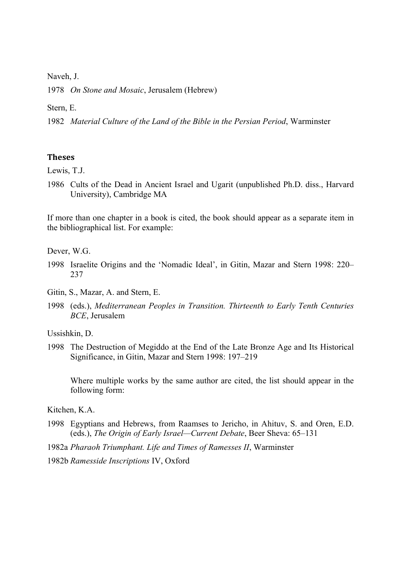Naveh, J.

1978 On Stone and Mosaic, Jerusalem (Hebrew)

Stern, E.

1982 Material Culture of the Land of the Bible in the Persian Period, Warminster

#### Theses

Lewis, T.J.

1986 Cults of the Dead in Ancient Israel and Ugarit (unpublished Ph.D. diss., Harvard University), Cambridge MA

If more than one chapter in a book is cited, the book should appear as a separate item in the bibliographical list. For example:

Dever, W.G.

1998 Israelite Origins and the 'Nomadic Ideal', in Gitin, Mazar and Stern 1998: 220– 237

Gitin, S., Mazar, A. and Stern, E.

1998 (eds.), Mediterranean Peoples in Transition. Thirteenth to Early Tenth Centuries BCE, Jerusalem

Ussishkin, D.

1998 The Destruction of Megiddo at the End of the Late Bronze Age and Its Historical Significance, in Gitin, Mazar and Stern 1998: 197–219

Where multiple works by the same author are cited, the list should appear in the following form:

Kitchen, K.A.

- 1998 Egyptians and Hebrews, from Raamses to Jericho, in Ahituv, S. and Oren, E.D. (eds.), The Origin of Early Israel—Current Debate, Beer Sheva: 65–131
- 1982a Pharaoh Triumphant. Life and Times of Ramesses II, Warminster
- 1982b Ramesside Inscriptions IV, Oxford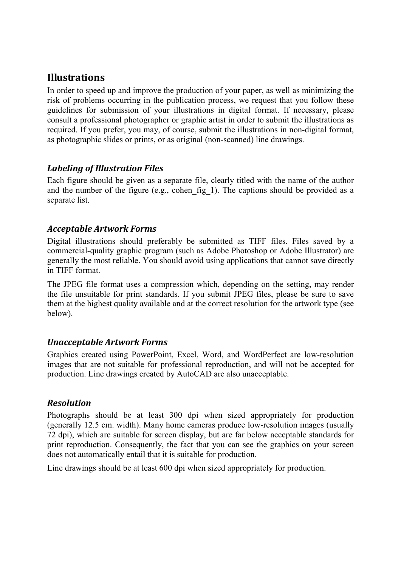# Illustrations

In order to speed up and improve the production of your paper, as well as minimizing the risk of problems occurring in the publication process, we request that you follow these guidelines for submission of your illustrations in digital format. If necessary, please consult a professional photographer or graphic artist in order to submit the illustrations as required. If you prefer, you may, of course, submit the illustrations in non-digital format, as photographic slides or prints, or as original (non-scanned) line drawings.

## Labeling of Illustration Files

Each figure should be given as a separate file, clearly titled with the name of the author and the number of the figure (e.g., cohen fig 1). The captions should be provided as a separate list.

## Acceptable Artwork Forms

Digital illustrations should preferably be submitted as TIFF files. Files saved by a commercial-quality graphic program (such as Adobe Photoshop or Adobe Illustrator) are generally the most reliable. You should avoid using applications that cannot save directly in TIFF format.

The JPEG file format uses a compression which, depending on the setting, may render the file unsuitable for print standards. If you submit JPEG files, please be sure to save them at the highest quality available and at the correct resolution for the artwork type (see below).

## Unacceptable Artwork Forms

Graphics created using PowerPoint, Excel, Word, and WordPerfect are low-resolution images that are not suitable for professional reproduction, and will not be accepted for production. Line drawings created by AutoCAD are also unacceptable.

## Resolution

Photographs should be at least 300 dpi when sized appropriately for production (generally 12.5 cm. width). Many home cameras produce low-resolution images (usually 72 dpi), which are suitable for screen display, but are far below acceptable standards for print reproduction. Consequently, the fact that you can see the graphics on your screen does not automatically entail that it is suitable for production.

Line drawings should be at least 600 dpi when sized appropriately for production.